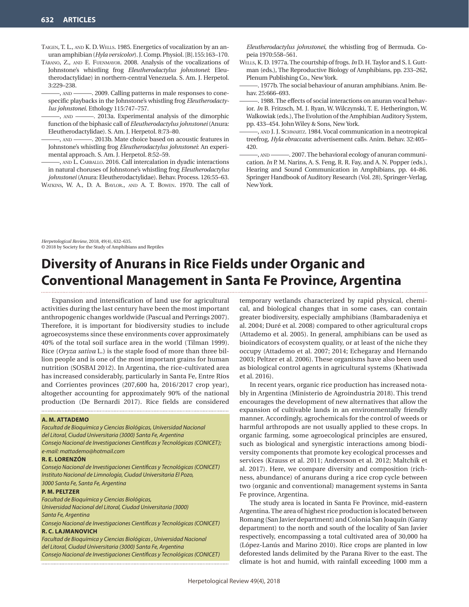- Taigen, T. L., and K. D. Wells. 1985. Energetics of vocalization by an anuran amphibian (*Hyla versicolor*). J. Comp. Physiol. [B].155:163–170.
- Tárano, Z., and E. Fuenmayor. 2008. Analysis of the vocalizations of Johnstone's whistling frog *Eleutherodactylus johnstonei*: Eleutherodactylidae) in northern-central Venezuela. S. Am. J. Herpetol. 3:229–238.

———, and ———. 2009. Calling patterns in male responses to conespecific playbacks in the Johnstone's whistling frog *Eleutherodactylus johnstonei*. Ethology 115:747–757.

———, and ———. 2013a. Experimental analysis of the dimorphic function of the biphasic call of *Eleutherodactylus johnstonei* (Anura: Eleutherodactylidae). S. Am. J. Herpetol. 8:73–80.

———, and ———. 2013b. Mate choice based on acoustic features in Johnstone's whistling frog *Eleutherodactylus johnstonei*: An experimental approach. S. Am. J. Herpetol. 8:52–59.

———, and L. Carballo. 2016. Call intercalation in dyadic interactions in natural choruses of Johnstone's whistling frog *Eleutherodactylus johnstonei* (Anura: Eleutherodactylidae). Behav. Process. 126:55–63.

Watkins, W. A., D. A. Baylor., and A. T. Bowen. 1970. The call of

*Eleutherodactylus johnstonei*, the whistling frog of Bermuda. Copeia 1970:558–561.

- Wells, K. D. 1977a. The courtship of frogs. *In* D. H. Taylor and S. I. Guttman (eds.), The Reproductive Biology of Amphibians, pp. 233–262, Plenum Publishing Co., New York.
- 1977b. The social behaviour of anuran amphibians. Anim. Behav. 25:666-693.
- 1988. The effects of social interactions on anuran vocal behavior. *In* B. Fritzsch, M. J. Ryan, W. Wilczynski, T. E. Hetherington, W. Walkowiak (eds.), The Evolution of the Amphibian Auditory System, pp. 433–454. John Wiley & Sons, New York.
- , AND J. J. SCHWARTZ. 1984. Vocal communication in a neotropical treefrog, *Hyla ebraccata*: advertisement calls. Anim. Behav. 32:405– 420.
- ———, and ———. 2007. The behavioral ecology of anuran communication. *In* P. M. Narins, A. S. Feng, R. R. Fay, and A. N. Popper (eds.), Hearing and Sound Communication in Amphibians, pp. 44–86. Springer Handbook of Auditory Research (Vol. 28), Springer-Verlag, New York.

*Herpetological Review*, 2018, 49(4), 632–635. © 2018 by Society for the Study of Amphibians and Reptiles

# **Diversity of Anurans in Rice Fields under Organic and Conventional Management in Santa Fe Province, Argentina**

Expansion and intensification of land use for agricultural activities during the last century have been the most important anthropogenic changes worldwide (Pascual and Perrings 2007). Therefore, it is important for biodiversity studies to include agroecosystems since these environments cover approximately 40% of the total soil surface area in the world (Tilman 1999). Rice (*Oryza sativa* L.) is the staple food of more than three billion people and is one of the most important grains for human nutrition (SOSBAI 2012). In Argentina, the rice-cultivated area has increased considerably, particularly in Santa Fe, Entre Ríos and Corrientes provinces (207,600 ha, 2016/2017 crop year), altogether accounting for approximately 90% of the national production (De Bernardi 2017). Rice fields are considered

### **A. M. ATTADEMO**

*Facultad de Bioquímica y Ciencias Biológicas, Universidad Nacional del Litoral, Ciudad Universitaria (3000) Santa Fe, Argentina Consejo Nacional de Investigaciones Científicas y Tecnológicas (CONICET); e-mail: mattademo@hotmail.com*

## **R. E. LORENZÓN**

*Consejo Nacional de Investigaciones Científicas y Tecnológicas (CONICET) Instituto Nacional de Limnología, Ciudad Universitaria El Pozo, 3000 Santa Fe, Santa Fe, Argentina*

## **P. M. PELTZER**

*Facultad de Bioquímica y Ciencias Biológicas, Universidad Nacional del Litoral, Ciudad Universitaria (3000) Santa Fe, Argentina*

*Consejo Nacional de Investigaciones Científicas y Tecnológicas (CONICET)* **R. C. LAJMANOVICH**

*Facultad de Bioquímica y Ciencias Biológicas , Universidad Nacional del Litoral, Ciudad Universitaria (3000) Santa Fe, Argentina Consejo Nacional de Investigaciones Científicas y Tecnológicas (CONICET)*

temporary wetlands characterized by rapid physical, chemical, and biological changes that in some cases, can contain greater biodiversity, especially amphibians (Bambaradeniya et al. 2004; Duré et al. 2008) compared to other agricultural crops (Attademo et al. 2005). In general, amphibians can be used as bioindicators of ecosystem quality, or at least of the niche they occupy (Attademo et al. 2007; 2014; Echegaray and Hernando 2003; Peltzer et al. 2006). These organisms have also been used as biological control agents in agricultural systems (Khatiwada et al. 2016).

In recent years, organic rice production has increased notably in Argentina (Ministerio de Agroindustria 2018). This trend encourages the development of new alternatives that allow the expansion of cultivable lands in an environmentally friendly manner. Accordingly, agrochemicals for the control of weeds or harmful arthropods are not usually applied to these crops. In organic farming, some agroecological principles are ensured, such as biological and synergistic interactions among biodiversity components that promote key ecological processes and services (Krauss et al. 2011; Andersson et al. 2012; Maltchik et al. 2017). Here, we compare diversity and composition (richness, abundance) of anurans during a rice crop cycle between two (organic and conventional) management systems in Santa Fe province, Argentina.

The study area is located in Santa Fe Province, mid-eastern Argentina. The area of highest rice production is located between Romang (San Javier department) and Colonia San Joaquín (Garay department) to the north and south of the locality of San Javier respectively, encompassing a total cultivated area of 30,000 ha (López-Lanús and Marino 2010). Rice crops are planted in low deforested lands delimited by the Parana River to the east. The climate is hot and humid, with rainfall exceeding 1000 mm a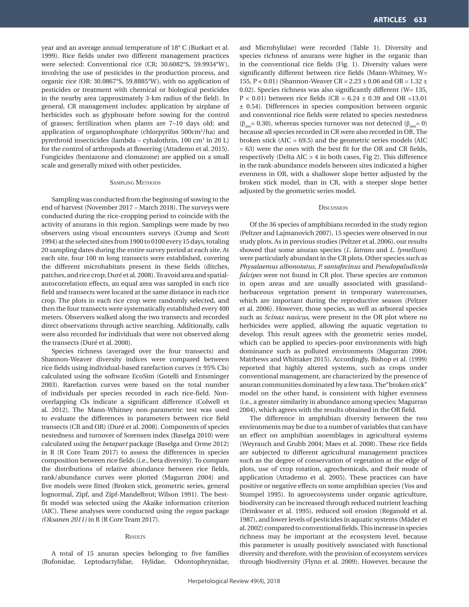year and an average annual temperature of 18° C (Burkart et al. 1999). Rice fields under two different management practices were selected: Conventional rice (CR; 30.6082°S, 59.9934°W), involving the use of pesticides in the production process, and organic rice (OR: 30.0867°S, 59.8885°W), with no application of pesticides or treatment with chemical or biological pesticides in the nearby area (approximately 3-km radius of the field). In general, CR management includes: application by airplane of herbicides such as glyphosate before sowing for the control of grasses; fertilization when plants are 7–10 days old; and application of organophosphate (chlorpyrifos 500cm3 /ha) and pyrethroid insecticides (lambda – cyhalothrin, 100 cm3 in 20 L) for the control of arthropods at flowering (Attademo et al. 2015). Fungicides (bentazone and clomazone) are applied on a small scale and generally mixed with other pesticides.

### Sampling Methods

Sampling was conducted from the beginning of sowing to the end of harvest (November 2017 – March 2018). The surveys were conducted during the rice-cropping period to coincide with the activity of anurans in this region. Samplings were made by two observers using visual encounters surveys (Crump and Scott 1994) at the selected sites from 1900 to 0100 every 15 days, totaling 20 sampling dates during the entire survey period at each site. At each site, four 100 m long transects were established, covering the different microhabitats present in these fields (ditches, patches, and rice crop; Duré et al. 2008). To avoid area and spatialautocorrelation effects, an equal area was sampled in each rice field and transects were located at the same distance in each rice crop. The plots in each rice crop were randomly selected, and then the four transects were systematically established every 400 meters. Observers walked along the two transects and recorded direct observations through active searching. Additionally, calls were also recorded for individuals that were not observed along the transects (Duré et al. 2008).

Species richness (averaged over the four transects) and Shannon-Weaver diversity indices were compared between rice fields using individual-based rarefaction curves (± 95% CIs) calculated using the software EcoSim (Gotelli and Entsminger 2003). Rarefaction curves were based on the total number of individuals per species recorded in each rice-field. Nonoverlapping Cls indicate a significant difference (Colwell et al. 2012). The Mann-Whitney non-parametric test was used to evaluate the differences in parameters between rice field transects (CR and OR) (Duré et al. 2008). Components of species nestedness and turnover of Sorensen index (Baselga 2010) were calculated using the *betapart* package (Baselga and Orme 2012) in R (R Core Team 2017) to assess the differences in species composition between rice fields (i.e., beta diversity). To compare the distributions of relative abundance between rice fields, rank/abundance curves were plotted (Magurran 2004) and five models were fitted (Broken stick, geometric series, general lognormal, Zipf, and Zipf-Mandelbrot; Wilson 1991). The bestfit model was selected using the Akaike information criterion (AIC). These analyses were conducted using the *vegan* package *(Oksanen 2011)* in R (R Core Team 2017).

#### **RESULTS**

A total of 15 anuran species belonging to five families (Bufonidae, Leptodactylidae, Hylidae, Odontophrynidae,

and Microhylidae) were recorded (Table 1). Diversity and species richness of anurans were higher in the organic than in the conventional rice fields (Fig. 1). Diversity values were significantly different between rice fields (Mann-Whitney, W= 155, P < 0.01) (Shannon-Weaver CR = 2.23 ± 0.06 and OR = 1.32 ± 0.02). Species richness was also significantly different (W= 135,  $P < 0.01$ ) between rice fields (CR = 6.24  $\pm$  0.39 and OR =13.01 ± 0.54). Differences in species composition between organic and conventional rice fields were related to species nestedness  $(β<sub>sm</sub> = 0.30)$ , whereas species turnover was not detected  $(β<sub>sm</sub> = 0)$ because all species recorded in CR were also recorded in OR. The broken stick (AIC = 69.5) and the geometric series models (AIC = 63) were the ones with the best fit for the OR and CR fields, respectively (Delta AIC > 4 in both cases, Fig 2). This difference in the rank-abundance models between sites indicated a higher evenness in OR, with a shallower slope better adjusted by the broken stick model, than in CR, with a steeper slope better adjusted by the geometric series model.

#### **D***ISCUSSION*

Of the 36 species of amphibians recorded in the study region (Peltzer and Lajmanovich 2007), 15 species were observed in our study plots. As in previous studies (Peltzer et al. 2006), our results showed that some anuran species (*L. latrans* and *L. lymellum*) were particularly abundant in the CR plots. Other species such as *Physalaemus albonotatus*, *P. santafecinus* and *Pseudopaludicola falcipes* were not found in CR plot. These species are common in open areas and are usually associated with grassland– herbaceous vegetation present in temporary watercourses, which are important during the reproductive season (Peltzer et al. 2006). However, those species, as well as arboreal species such as *Scinax nasicus*, were present in the OR plot where no herbicides were applied, allowing the aquatic vegetation to develop. This result agrees with the geometric series model, which can be applied to species-poor environments with high dominance such as polluted environments (Magurran 2004; Matthews and Whittaker 2015). Accordingly, Bishop et al. (1999) reported that highly altered systems, such as crops under conventional management, are characterized by the presence of anuran communities dominated by a few taxa. The"broken stick" model on the other hand, is consistent with higher evenness (i.e., a greater similarity in abundance among species; Magurran 2004), which agrees with the results obtained in the OR field.

The difference in amphibian diversity between the two environments may be due to a number of variables that can have an effect on amphibian assemblages in agricultural systems (Weyrauch and Grubb 2004; Maes et al. 2008). These rice fields are subjected to different agricultural management practices such as the degree of conservation of vegetation at the edge of plots, use of crop rotation, agrochemicals, and their mode of application (Attademo et al. 2005). These practices can have positive or negative effects on some amphibian species (Vos and Stumpel 1995). In agroecosystems under organic agriculture, biodiversity can be increased through reduced nutrient leaching (Drinkwater et al. 1995), reduced soil erosion (Reganold et al. 1987), and lower levels of pesticides in aquatic systems (Mäder et al. 2002) compared to conventional fields. This increase in species richness may be important at the ecosystem level, because this parameter is usually positively associated with functional diversity and therefore, with the provision of ecosystem services through biodiversity (Flynn et al. 2009). However, because the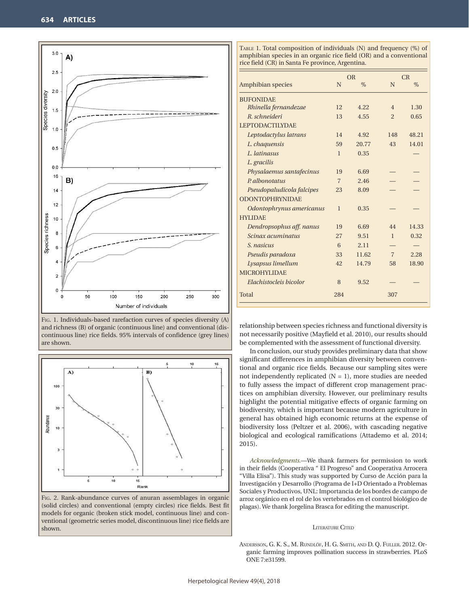

Fig. 1. Individuals-based rarefaction curves of species diversity (A) and richness (B) of organic (continuous line) and conventional (discontinuous line) rice fields. 95% intervals of confidence (grey lines) are shown.



Fig. 2. Rank-abundance curves of anuran assemblages in organic (solid circles) and conventional (empty circles) rice fields. Best fit models for organic (broken stick model, continuous line) and conventional (geometric series model, discontinuous line) rice fields are shown.

TABLE 1. Total composition of individuals (N) and frequency (%) of amphibian species in an organic rice field (OR) and a conventional rice field (CR) in Santa Fe province, Argentina.

|                           | <b>OR</b>      |       | CR             |       |
|---------------------------|----------------|-------|----------------|-------|
| Amphibian species         | N              | $\%$  | N              | $\%$  |
| <b>BUFONIDAE</b>          |                |       |                |       |
| Rhinella fernandezae      | 12             | 4.22  | $\overline{4}$ | 1.30  |
| R. schneideri             | 13             | 4.55  | $\overline{2}$ | 0.65  |
| <b>LEPTODACTILYDAE</b>    |                |       |                |       |
| Leptodactylus latrans     | 14             | 4.92  | 148            | 48.21 |
| L. chaquensis             | 59             | 20.77 | 43             | 14.01 |
| L. latinasus              | $\mathbf{1}$   | 0.35  |                |       |
| L. gracilis               |                |       |                |       |
| Physalaemus santafecinus  | 19             | 6.69  |                |       |
| P. albonotatus            | $\overline{7}$ | 2.46  |                |       |
| Pseudopaludicola falcipes | 23             | 8.09  |                |       |
| <b>ODONTOPHRYNIDAE</b>    |                |       |                |       |
| Odontophrynus americanus  | $\mathbf{1}$   | 0.35  |                |       |
| <b>HYLIDAE</b>            |                |       |                |       |
| Dendropsophus aff. nanus  | 19             | 6.69  | 44             | 14.33 |
| Scinax acuminatus         | 27             | 9.51  | $\mathbf{1}$   | 0.32  |
| S. nasicus                | 6              | 2.11  |                |       |
| Pseudis paradoxa          | 33             | 11.62 | $\overline{7}$ | 2.28  |
| Lysapsus limellum         | 42             | 14.79 | 58             | 18.90 |
| <b>MICROHYLIDAE</b>       |                |       |                |       |
| Elachistocleis bicolor    | 8              | 9.52  |                |       |
| Total                     | 284            |       | 307            |       |

relationship between species richness and functional diversity is not necessarily positive (Mayfield et al. 2010), our results should be complemented with the assessment of functional diversity.

In conclusion, our study provides preliminary data that show significant differences in amphibian diversity between conventional and organic rice fields. Because our sampling sites were not independently replicated  $(N = 1)$ , more studies are needed to fully assess the impact of different crop management practices on amphibian diversity. However, our preliminary results highlight the potential mitigative effects of organic farming on biodiversity, which is important because modern agriculture in general has obtained high economic returns at the expense of biodiversity loss (Peltzer et al. 2006), with cascading negative biological and ecological ramifications (Attademo et al. 2014; 2015).

*Acknowledgments.*—We thank farmers for permission to work in their fields (Cooperativa " El Progreso" and Cooperativa Arrocera "Villa Elisa"). This study was supported by Curso de Acción para la Investigación y Desarrollo (Programa de I+D Orientado a Problemas Sociales y Productivos, UNL: Importancia de los bordes de campo de arroz orgánico en el rol de los vertebrados en el control biológico de plagas). We thank Jorgelina Brasca for editing the manuscript.

#### LITERATURE CITED

Andersson, G. K. S., M. Rundlöf, H. G. Smith, and D. Q. Fuller. 2012. Organic farming improves pollination success in strawberries. PLoS ONE 7:e31599.